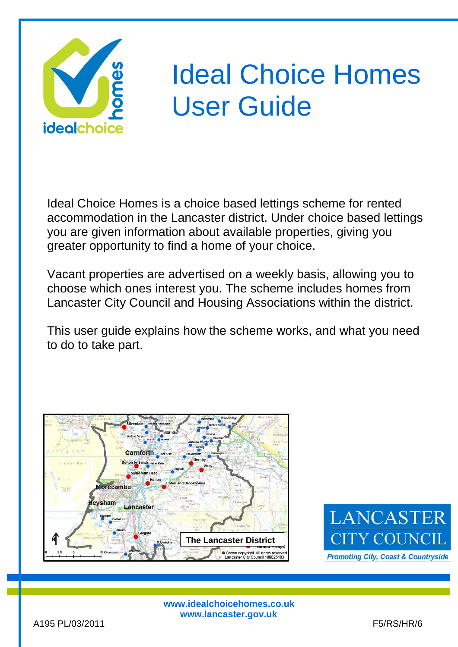

# Ideal Choice Homes User Guide

Ideal Choice Homes is a choice based lettings scheme for rented accommodation in the Lancaster district. Under choice based lettings you are given information about available properties, giving you greater opportunity to find a home of your choice.

Vacant properties are advertised on a weekly basis, allowing you to choose which ones interest you. The scheme includes homes from Lancaster City Council and Housing Associations within the district.

This user guide explains how the scheme works, and what you need to do to take part.





**www.idealchoicehomes.co.uk www.lancaster.gov.uk**

i<br>I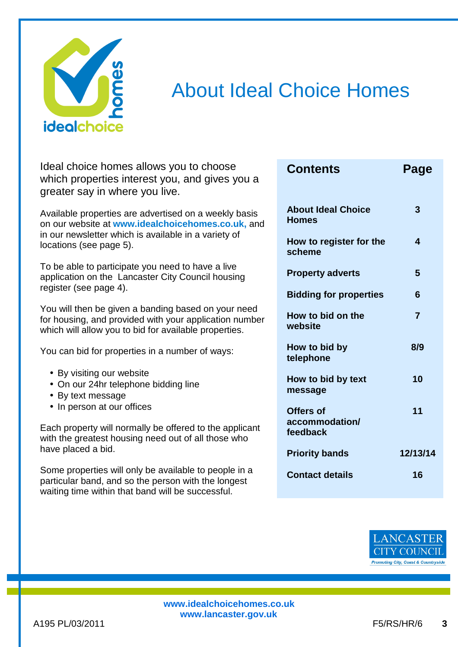

# About Ideal Choice Homes

Ideal choice homes allows you to choose which properties interest you, and gives you a greater say in where you live.

Available properties are advertised on a weekly basis on our website at **www.idealchoicehomes.co.uk,** and in our newsletter which is available in a variety of locations (see page 5).

To be able to participate you need to have a live application on the Lancaster City Council housing register (see page 4).

You will then be given a banding based on your need for housing, and provided with your application number which will allow you to bid for available properties.

You can bid for properties in a number of ways:

- By visiting our website
- On our 24hr telephone bidding line
- By text message
- In person at our offices

Each property will normally be offered to the applicant with the greatest housing need out of all those who have placed a bid.

Some properties will only be available to people in a particular band, and so the person with the longest waiting time within that band will be successful.

| <b>Contents</b>                         | Page     |
|-----------------------------------------|----------|
| <b>About Ideal Choice</b><br>Homes      | 3        |
| How to register for the<br>scheme       | 4        |
| <b>Property adverts</b>                 | 5        |
| <b>Bidding for properties</b>           | 6        |
| How to bid on the<br>website            | 7        |
| How to bid by<br>telephone              | 8/9      |
| How to bid by text<br>message           | 10       |
| Offers of<br>accommodation/<br>feedback | 11       |
| <b>Priority bands</b>                   | 12/13/14 |
| <b>Contact details</b>                  | 16       |

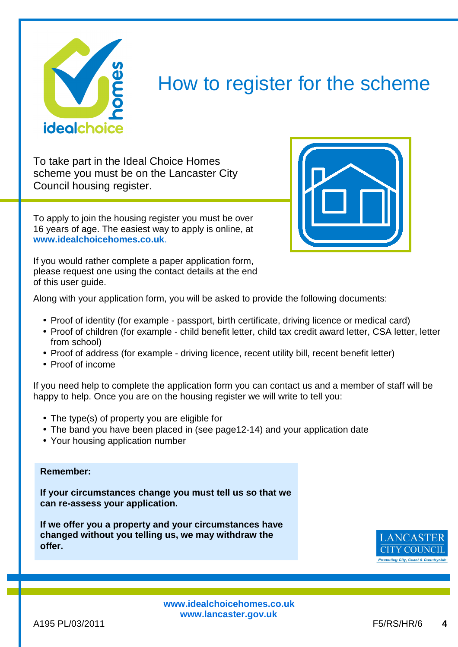

### How to register for the scheme

To take part in the Ideal Choice Homes scheme you must be on the Lancaster City Council housing register.

To apply to join the housing register you must be over 16 years of age. The easiest way to apply is online, at **www.idealchoicehomes.co.uk**.



If you would rather complete a paper application form, please request one using the contact details at the end of this user guide.

Along with your application form, you will be asked to provide the following documents:

- Proof of identity (for example passport, birth certificate, driving licence or medical card)
- Proof of children (for example child benefit letter, child tax credit award letter, CSA letter, letter from school)
- Proof of address (for example driving licence, recent utility bill, recent benefit letter)
- Proof of income

If you need help to complete the application form you can contact us and a member of staff will be happy to help. Once you are on the housing register we will write to tell you:

- The type(s) of property you are eligible for
- The band you have been placed in (see page12-14) and your application date
- Your housing application number

#### **Remember:**

**If your circumstances change you must tell us so that we can re-assess your application.** 

**If we offer you a property and your circumstances have changed without you telling us, we may withdraw the offer.** 



**www.idealchoicehomes.co.uk www.lancaster.gov.uk**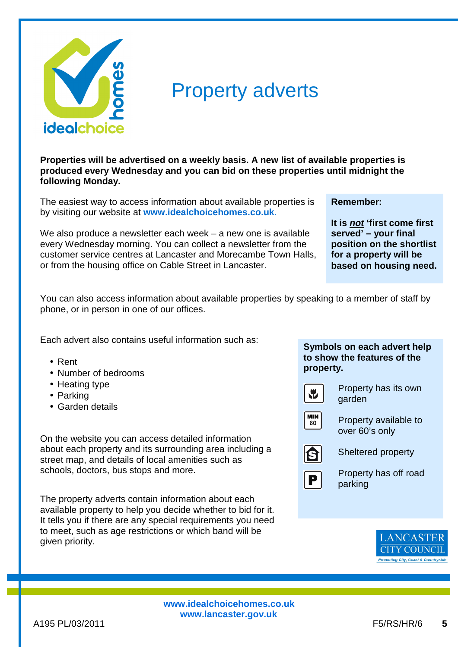

## Property adverts

**Properties will be advertised on a weekly basis. A new list of available properties is produced every Wednesday and you can bid on these properties until midnight the following Monday.** 

The easiest way to access information about available properties is by visiting our website at **www.idealchoicehomes.co.uk**.

We also produce a newsletter each week – a new one is available every Wednesday morning. You can collect a newsletter from the customer service centres at Lancaster and Morecambe Town Halls, or from the housing office on Cable Street in Lancaster.

**Remember:**

**It is not 'first come first served' – your final position on the shortlist for a property will be based on housing need.** 

You can also access information about available properties by speaking to a member of staff by phone, or in person in one of our offices.

Each advert also contains useful information such as:

- Rent
- Number of bedrooms
- Heating type
- Parking
- Garden details

On the website you can access detailed information about each property and its surrounding area including a street map, and details of local amenities such as schools, doctors, bus stops and more.

The property adverts contain information about each available property to help you decide whether to bid for it. It tells you if there are any special requirements you need to meet, such as age restrictions or which band will be given priority.

#### **Symbols on each advert help to show the features of the property.**



Property has its own garden



Property available to over 60's only



Sheltered property



Property has off road parking

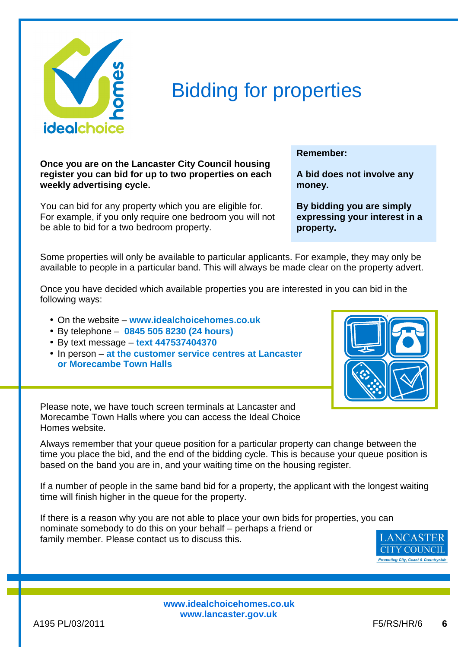

# Bidding for properties

**Once you are on the Lancaster City Council housing register you can bid for up to two properties on each weekly advertising cycle.** 

You can bid for any property which you are eligible for. For example, if you only require one bedroom you will not be able to bid for a two bedroom property.

**Remember:**

**A bid does not involve any money.** 

**By bidding you are simply expressing your interest in a property.** 

Some properties will only be available to particular applicants. For example, they may only be available to people in a particular band. This will always be made clear on the property advert.

Once you have decided which available properties you are interested in you can bid in the following ways:

- On the website **www.idealchoicehomes.co.uk**
- By telephone **0845 505 8230 (24 hours)**
- By text message **text 447537404370**
- In person **at the customer service centres at Lancaster or Morecambe Town Halls**



Please note, we have touch screen terminals at Lancaster and Morecambe Town Halls where you can access the Ideal Choice Homes website.

Always remember that your queue position for a particular property can change between the time you place the bid, and the end of the bidding cycle. This is because your queue position is based on the band you are in, and your waiting time on the housing register.

If a number of people in the same band bid for a property, the applicant with the longest waiting time will finish higher in the queue for the property.

If there is a reason why you are not able to place your own bids for properties, you can nominate somebody to do this on your behalf – perhaps a friend or family member. Please contact us to discuss this.

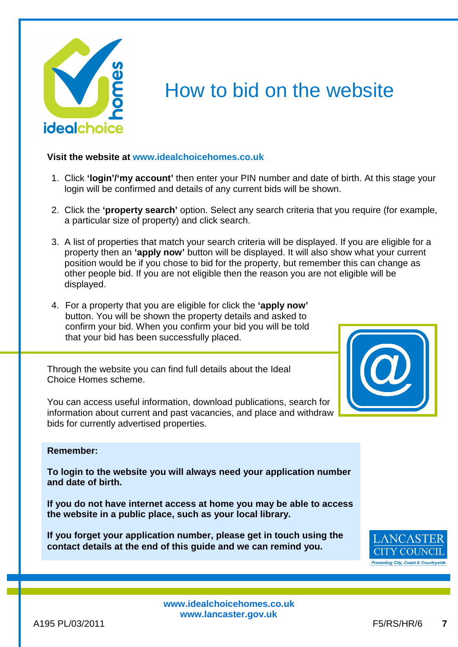

# How to bid on the website

#### **Visit the website at www.idealchoicehomes.co.uk**

- 1. Click **'login'/'my account'** then enter your PIN number and date of birth. At this stage your login will be confirmed and details of any current bids will be shown.
- 2. Click the **'property search'** option. Select any search criteria that you require (for example, a particular size of property) and click search.
- 3. A list of properties that match your search criteria will be displayed. If you are eligible for a property then an **'apply now'** button will be displayed. It will also show what your current position would be if you chose to bid for the property, but remember this can change as other people bid. If you are not eligible then the reason you are not eligible will be displayed.
- 4. For a property that you are eligible for click the **'apply now'** button. You will be shown the property details and asked to confirm your bid. When you confirm your bid you will be told that your bid has been successfully placed.

Through the website you can find full details about the Ideal Choice Homes scheme.

You can access useful information, download publications, search for information about current and past vacancies, and place and withdraw bids for currently advertised properties.



#### **Remember:**

**To login to the website you will always need your application number and date of birth.** 

**If you do not have internet access at home you may be able to access the website in a public place, such as your local library.** 

**If you forget your application number, please get in touch using the contact details at the end of this guide and we can remind you.** 

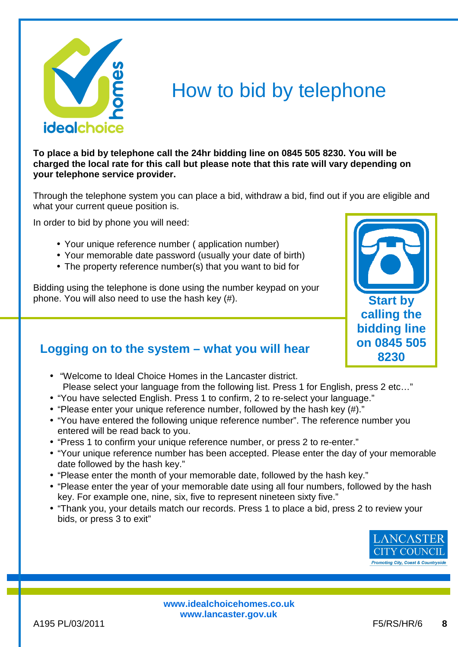

### How to bid by telephone

**To place a bid by telephone call the 24hr bidding line on 0845 505 8230. You will be charged the local rate for this call but please note that this rate will vary depending on your telephone service provider.** 

Through the telephone system you can place a bid, withdraw a bid, find out if you are eligible and what your current queue position is.

In order to bid by phone you will need:

- Your unique reference number ( application number)
- Your memorable date password (usually your date of birth)
- The property reference number(s) that you want to bid for

Bidding using the telephone is done using the number keypad on your phone. You will also need to use the hash key (#).

### **Logging on to the system – what you will hear**

- "Welcome to Ideal Choice Homes in the Lancaster district. Please select your language from the following list. Press 1 for English, press 2 etc…"
- "You have selected English. Press 1 to confirm, 2 to re-select your language."
- "Please enter your unique reference number, followed by the hash key (#)."
- "You have entered the following unique reference number". The reference number you entered will be read back to you.
- "Press 1 to confirm your unique reference number, or press 2 to re-enter."
- "Your unique reference number has been accepted. Please enter the day of your memorable date followed by the hash key."
- "Please enter the month of your memorable date, followed by the hash key."
- "Please enter the year of your memorable date using all four numbers, followed by the hash key. For example one, nine, six, five to represent nineteen sixty five."
- "Thank you, your details match our records. Press 1 to place a bid, press 2 to review your bids, or press 3 to exit"



**Start by calling the bidding line on 0845 505 8230**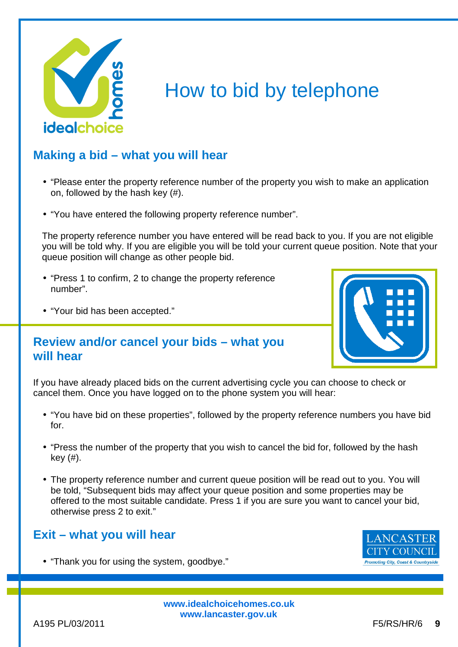

# How to bid by telephone

### **Making a bid – what you will hear**

- "Please enter the property reference number of the property you wish to make an application on, followed by the hash key (#).
- "You have entered the following property reference number".

The property reference number you have entered will be read back to you. If you are not eligible you will be told why. If you are eligible you will be told your current queue position. Note that your queue position will change as other people bid.

- "Press 1 to confirm, 2 to change the property reference number".
- "Your bid has been accepted."

### **Review and/or cancel your bids – what you will hear**



If you have already placed bids on the current advertising cycle you can choose to check or cancel them. Once you have logged on to the phone system you will hear:

- "You have bid on these properties", followed by the property reference numbers you have bid for.
- "Press the number of the property that you wish to cancel the bid for, followed by the hash key (#).
- The property reference number and current queue position will be read out to you. You will be told, "Subsequent bids may affect your queue position and some properties may be offered to the most suitable candidate. Press 1 if you are sure you want to cancel your bid, otherwise press 2 to exit."

### **Exit – what you will hear**

• "Thank you for using the system, goodbye."

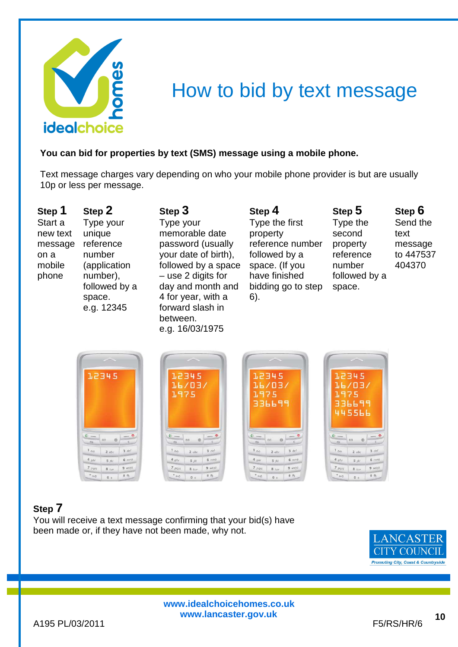

## How to bid by text message

#### **You can bid for properties by text (SMS) message using a mobile phone.**

Text message charges vary depending on who your mobile phone provider is but are usually 10p or less per message.

**Step 1**  Start a new text message reference on a mobile phone **Step 2** 

Type your unique number (application number), followed by a space. e.g. 12345

**Step 3** Type your memorable date password (usually your date of birth), followed by a space – use 2 digits for day and month and 4 for year, with a forward slash in between. e.g. 16/03/1975

**Step 4**  Type the first property reference number followed by a space. (If you have finished bidding go to step 6).

**Step 5**  Type the second property reference number followed by a space.

**Step 6**  Send the text message to 447537 404370



### **Step 7**

You will receive a text message confirming that your bid(s) have been made or, if they have not been made, why not.

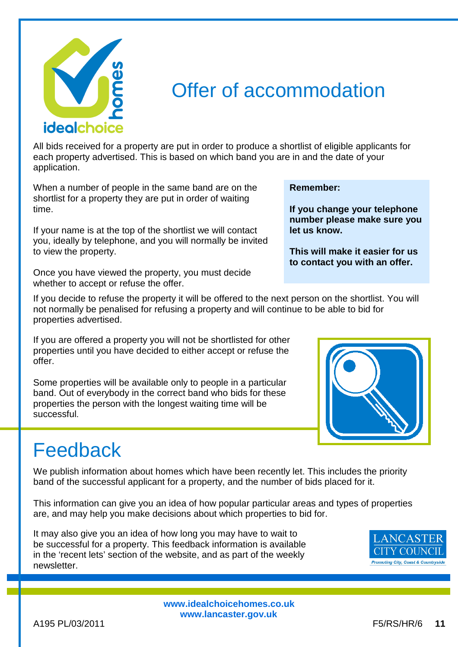

### Offer of accommodation

All bids received for a property are put in order to produce a shortlist of eligible applicants for each property advertised. This is based on which band you are in and the date of your application.

When a number of people in the same band are on the shortlist for a property they are put in order of waiting time.

If your name is at the top of the shortlist we will contact you, ideally by telephone, and you will normally be invited to view the property.

Once you have viewed the property, you must decide whether to accept or refuse the offer.

If you decide to refuse the property it will be offered to the next person on the shortlist. You will not normally be penalised for refusing a property and will continue to be able to bid for properties advertised.

If you are offered a property you will not be shortlisted for other properties until you have decided to either accept or refuse the offer.

Some properties will be available only to people in a particular band. Out of everybody in the correct band who bids for these properties the person with the longest waiting time will be successful.

#### **Remember:**

**If you change your telephone number please make sure you let us know.** 

**This will make it easier for us to contact you with an offer.** 



# Feedback

We publish information about homes which have been recently let. This includes the priority band of the successful applicant for a property, and the number of bids placed for it.

This information can give you an idea of how popular particular areas and types of properties are, and may help you make decisions about which properties to bid for.

It may also give you an idea of how long you may have to wait to be successful for a property. This feedback information is available in the 'recent lets' section of the website, and as part of the weekly newsletter.

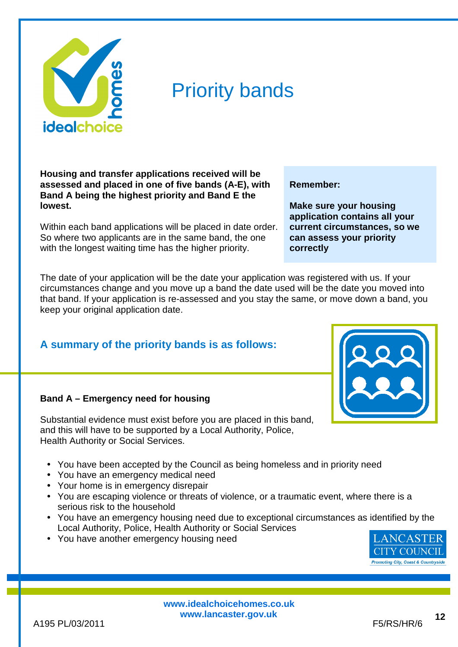

### Priority bands

**Housing and transfer applications received will be assessed and placed in one of five bands (A-E), with Band A being the highest priority and Band E the lowest.** 

Within each band applications will be placed in date order. So where two applicants are in the same band, the one with the longest waiting time has the higher priority.

#### **Remember:**

**Make sure your housing application contains all your current circumstances, so we can assess your priority correctly** 

The date of your application will be the date your application was registered with us. If your circumstances change and you move up a band the date used will be the date you moved into that band. If your application is re-assessed and you stay the same, or move down a band, you keep your original application date.

### **A summary of the priority bands is as follows:**

#### **Band A – Emergency need for housing**

Substantial evidence must exist before you are placed in this band, and this will have to be supported by a Local Authority, Police, Health Authority or Social Services.

- You have been accepted by the Council as being homeless and in priority need
- You have an emergency medical need
- Your home is in emergency disrepair
- You are escaping violence or threats of violence, or a traumatic event, where there is a serious risk to the household
- You have an emergency housing need due to exceptional circumstances as identified by the Local Authority, Police, Health Authority or Social Services
- You have another emergency housing need

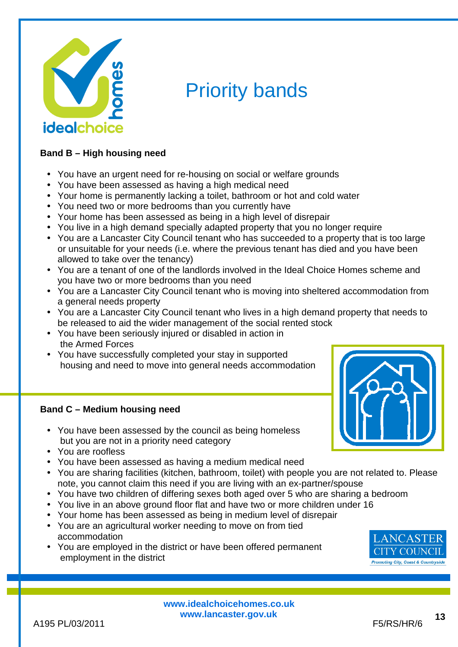

# Priority bands

#### **Band B – High housing need**

- You have an urgent need for re-housing on social or welfare grounds
- You have been assessed as having a high medical need
- Your home is permanently lacking a toilet, bathroom or hot and cold water
- You need two or more bedrooms than you currently have
- Your home has been assessed as being in a high level of disrepair
- You live in a high demand specially adapted property that you no longer require
- You are a Lancaster City Council tenant who has succeeded to a property that is too large or unsuitable for your needs (i.e. where the previous tenant has died and you have been allowed to take over the tenancy)
- You are a tenant of one of the landlords involved in the Ideal Choice Homes scheme and you have two or more bedrooms than you need
- You are a Lancaster City Council tenant who is moving into sheltered accommodation from a general needs property
- You are a Lancaster City Council tenant who lives in a high demand property that needs to be released to aid the wider management of the social rented stock
- You have been seriously injured or disabled in action in the Armed Forces
- You have successfully completed your stay in supported housing and need to move into general needs accommodation

#### **Band C – Medium housing need**

- You have been assessed by the council as being homeless but you are not in a priority need category
- You are roofless
- You have been assessed as having a medium medical need
- You are sharing facilities (kitchen, bathroom, toilet) with people you are not related to. Please note, you cannot claim this need if you are living with an ex-partner/spouse
- You have two children of differing sexes both aged over 5 who are sharing a bedroom
- You live in an above ground floor flat and have two or more children under 16
- Your home has been assessed as being in medium level of disrepair
- You are an agricultural worker needing to move on from tied accommodation
- You are employed in the district or have been offered permanent employment in the district

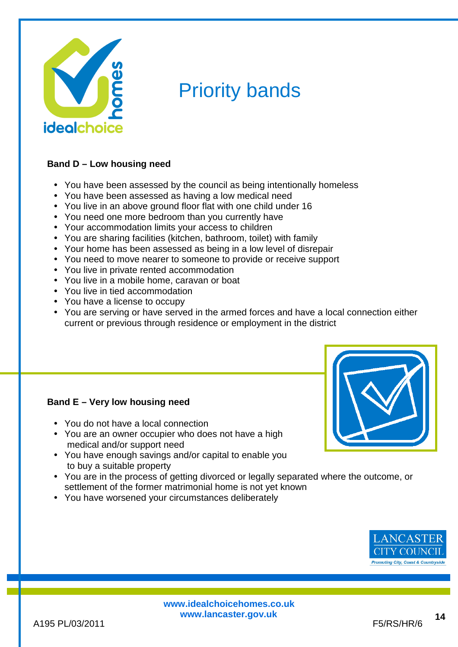

# Priority bands

#### **Band D – Low housing need**

- You have been assessed by the council as being intentionally homeless
- You have been assessed as having a low medical need
- You live in an above ground floor flat with one child under 16
- You need one more bedroom than you currently have
- Your accommodation limits your access to children
- You are sharing facilities (kitchen, bathroom, toilet) with family
- Your home has been assessed as being in a low level of disrepair
- You need to move nearer to someone to provide or receive support
- You live in private rented accommodation
- You live in a mobile home, caravan or boat
- You live in tied accommodation
- You have a license to occupy
- You are serving or have served in the armed forces and have a local connection either current or previous through residence or employment in the district

#### **Band E – Very low housing need**

- You do not have a local connection
- You are an owner occupier who does not have a high medical and/or support need
- You have enough savings and/or capital to enable you to buy a suitable property
- You are in the process of getting divorced or legally separated where the outcome, or settlement of the former matrimonial home is not yet known
- You have worsened your circumstances deliberately